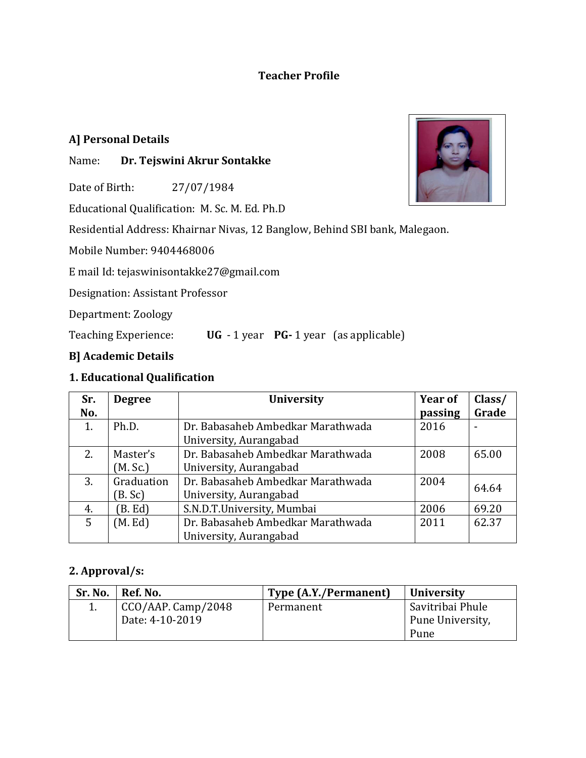## **Teacher Profile**

## **A] Personal Details**

## Name: **Dr. Tejswini Akrur Sontakke**

Date of Birth: 27/07/1984

Educational Qualification: M. Sc. M. Ed. Ph.D

Residential Address: Khairnar Nivas, 12 Banglow, Behind SBI bank, Malegaon.

Mobile Number: 9404468006

E mail Id: tejaswinisontakke27@gmail.com

Designation: Assistant Professor

Department: Zoology

Teaching Experience: **UG** - 1 year **PG-** 1 year (as applicable)

### **B] Academic Details**

## **1. Educational Qualification**

| Sr. | <b>Degree</b> | <b>Year of</b><br><b>University</b> |         | Class/ |
|-----|---------------|-------------------------------------|---------|--------|
| No. |               |                                     | passing | Grade  |
| 1.  | Ph.D.         | Dr. Babasaheb Ambedkar Marathwada   | 2016    |        |
|     |               | University, Aurangabad              |         |        |
| 2.  | Master's      | Dr. Babasaheb Ambedkar Marathwada   | 2008    | 65.00  |
|     | (M. Sc.)      | University, Aurangabad              |         |        |
| 3.  | Graduation    | Dr. Babasaheb Ambedkar Marathwada   | 2004    | 64.64  |
|     | (B. Sc)       | University, Aurangabad              |         |        |
| 4.  | B. Ed         | S.N.D.T.University, Mumbai          | 2006    | 69.20  |
| 5   | (M. Ed)       | Dr. Babasaheb Ambedkar Marathwada   | 2011    | 62.37  |
|     |               | University, Aurangabad              |         |        |

## **2. Approval/s:**

| Sr. No. | Ref. No.           | Type (A.Y./Permanent) | <b>University</b> |
|---------|--------------------|-----------------------|-------------------|
|         | CCO/AAP. Camp/2048 | Permanent             | Savitribai Phule  |
|         | Date: 4-10-2019    |                       | Pune University,  |
|         |                    |                       | Pune              |

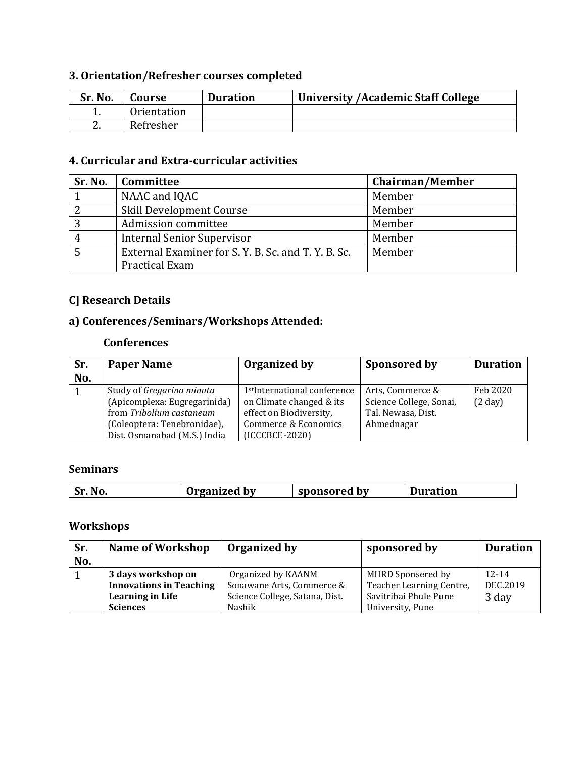# **3. Orientation/Refresher courses completed**

| Sr. No.  | Course      | <b>Duration</b> | <b>University / Academic Staff College</b> |
|----------|-------------|-----------------|--------------------------------------------|
|          | Orientation |                 |                                            |
| <u>.</u> | Refresher   |                 |                                            |

#### **4. Curricular and Extra-curricular activities**

| Sr. No. | Committee                                           | Chairman/Member |
|---------|-----------------------------------------------------|-----------------|
|         | NAAC and IQAC                                       | Member          |
|         | Skill Development Course                            | Member          |
|         | Admission committee                                 | Member          |
| 4       | Internal Senior Supervisor                          | Member          |
|         | External Examiner for S. Y. B. Sc. and T. Y. B. Sc. | Member          |
|         | Practical Exam                                      |                 |

## **C] Research Details**

## **a) Conferences/Seminars/Workshops Attended:**

#### **Conferences**

| Sr.<br>No. | <b>Paper Name</b>            | Organized by                             | Sponsored by            | <b>Duration</b> |
|------------|------------------------------|------------------------------------------|-------------------------|-----------------|
|            | Study of Gregarina minuta    | 1 <sup>st</sup> International conference | Arts, Commerce &        | Feb 2020        |
|            | (Apicomplexa: Eugregarinida) | on Climate changed & its                 | Science College, Sonai, | (2 day)         |
|            | from Tribolium castaneum     | effect on Biodiversity,                  | Tal. Newasa, Dist.      |                 |
|            | (Coleoptera: Tenebronidae),  | Commerce & Economics                     | Ahmednagar              |                 |
|            | Dist. Osmanabad (M.S.) India | (ICCCBCE-2020)                           |                         |                 |

#### **Seminars**

| <b>Sr</b> |  | NO. | Irganized by | sponsored by | iration |
|-----------|--|-----|--------------|--------------|---------|
|-----------|--|-----|--------------|--------------|---------|

## **Workshops**

| Sr.<br>No. | <b>Name of Workshop</b>                              | Organized by                                    | sponsored by                                  | <b>Duration</b>       |
|------------|------------------------------------------------------|-------------------------------------------------|-----------------------------------------------|-----------------------|
|            | 3 days workshop on<br><b>Innovations in Teaching</b> | Organized by KAANM<br>Sonawane Arts, Commerce & | MHRD Sponsered by<br>Teacher Learning Centre, | $12 - 14$<br>DEC.2019 |
|            | <b>Learning in Life</b>                              | Science College, Satana, Dist.                  | Savitribai Phule Pune                         | 3 day                 |
|            | <b>Sciences</b>                                      | <b>Nashik</b>                                   | University, Pune                              |                       |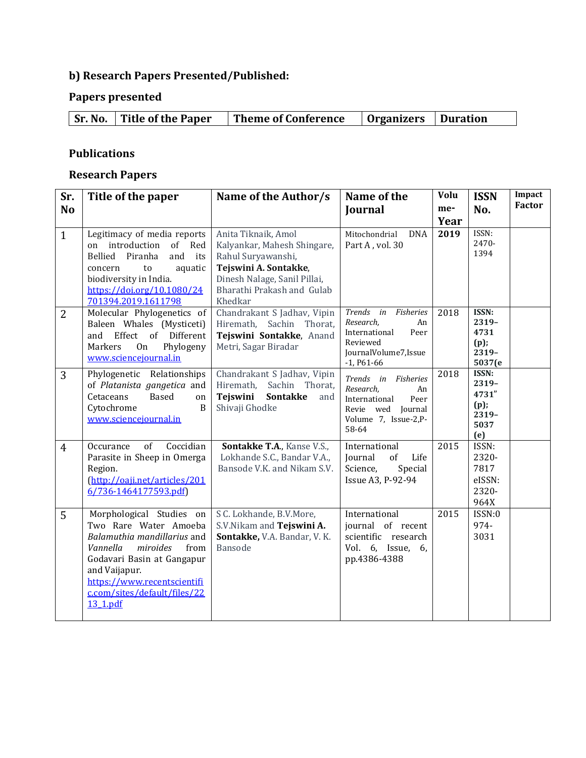## **b) Research Papers Presented/Published:**

# **Papers presented**

| <b>Sr. No.</b> Title of the Paper | Theme of Conference | Organizers   Duration |  |
|-----------------------------------|---------------------|-----------------------|--|

## **Publications**

### **Research Papers**

| Sr.<br><b>No</b> | Title of the paper                                                                                                                                                                                                                         | Name of the Author/s                                                                                                                                                       | Name of the<br>Journal                                                                                                | Volu<br>me-<br>Year | <b>ISSN</b><br>No.                                      | Impact<br><b>Factor</b> |
|------------------|--------------------------------------------------------------------------------------------------------------------------------------------------------------------------------------------------------------------------------------------|----------------------------------------------------------------------------------------------------------------------------------------------------------------------------|-----------------------------------------------------------------------------------------------------------------------|---------------------|---------------------------------------------------------|-------------------------|
| $\mathbf{1}$     | Legitimacy of media reports<br>on introduction<br>of Red<br>Bellied<br>Piranha<br>and<br>its<br>to<br>aquatic<br>concern<br>biodiversity in India.<br>https://doi.org/10.1080/24<br>701394.2019.1611798                                    | Anita Tiknaik, Amol<br>Kalyankar, Mahesh Shingare,<br>Rahul Suryawanshi,<br>Tejswini A. Sontakke,<br>Dinesh Nalage, Sanil Pillai,<br>Bharathi Prakash and Gulab<br>Khedkar | Mitochondrial<br><b>DNA</b><br>Part A, vol. 30                                                                        | 2019                | ISSN:<br>2470-<br>1394                                  |                         |
| 2                | Molecular Phylogenetics of<br>Baleen Whales (Mysticeti)<br>Effect of Different<br>and<br>Phylogeny<br>Markers<br><b>On</b><br>www.sciencejournal.in                                                                                        | Chandrakant S Jadhav, Vipin<br>Hiremath, Sachin Thorat,<br>Tejswini Sontakke, Anand<br>Metri, Sagar Biradar                                                                | Trends in Fisheries<br>Research.<br>An<br>International<br>Peer<br>Reviewed<br>JournalVolume7, Issue<br>$-1, P61-66$  | 2018                | ISSN:<br>2319-<br>4731<br>(p)<br>2319-<br>5037(e        |                         |
| 3                | Phylogenetic Relationships<br>of Platanista gangetica and<br><b>Based</b><br>Cetaceans<br>on<br>Cytochrome<br>B<br>www.sciencejournal.in                                                                                                   | Chandrakant S Jadhav, Vipin<br>Sachin Thorat,<br>Hiremath,<br>Tejswini<br><b>Sontakke</b><br>and<br>Shivaji Ghodke                                                         | Trends in Fisheries<br>Research,<br>An<br>Peer<br>International<br>Revie wed Journal<br>Volume 7, Issue-2,P-<br>58-64 | 2018                | ISSN:<br>2319-<br>4731"<br>(p);<br>2319-<br>5037<br>(e) |                         |
| $\overline{4}$   | of<br>Coccidian<br>Occurance<br>Parasite in Sheep in Omerga<br>Region.<br>(http://oaji.net/articles/201<br>6/736-1464177593.pdf)                                                                                                           | Sontakke T.A., Kanse V.S.,<br>Lokhande S.C., Bandar V.A.,<br>Bansode V.K. and Nikam S.V.                                                                                   | International<br>Life<br>Journal<br>of<br>Science,<br>Special<br>Issue A3, P-92-94                                    | 2015                | ISSN:<br>2320-<br>7817<br>eISSN:<br>2320-<br>964X       |                         |
| 5                | Morphological Studies on<br>Two Rare Water Amoeba<br>Balamuthia mandillarius and<br>Vannella<br>miroides<br>from<br>Godavari Basin at Gangapur<br>and Vaijapur.<br>https://www.recentscientifi<br>c.com/sites/default/files/22<br>13 1.pdf | S C. Lokhande, B.V.More,<br>S.V.Nikam and Tejswini A.<br>Sontakke, V.A. Bandar, V.K.<br><b>Bansode</b>                                                                     | International<br>journal of recent<br>scientific research<br>Vol. 6, Issue, 6,<br>pp.4386-4388                        | 2015                | ISSN:0<br>974-<br>3031                                  |                         |